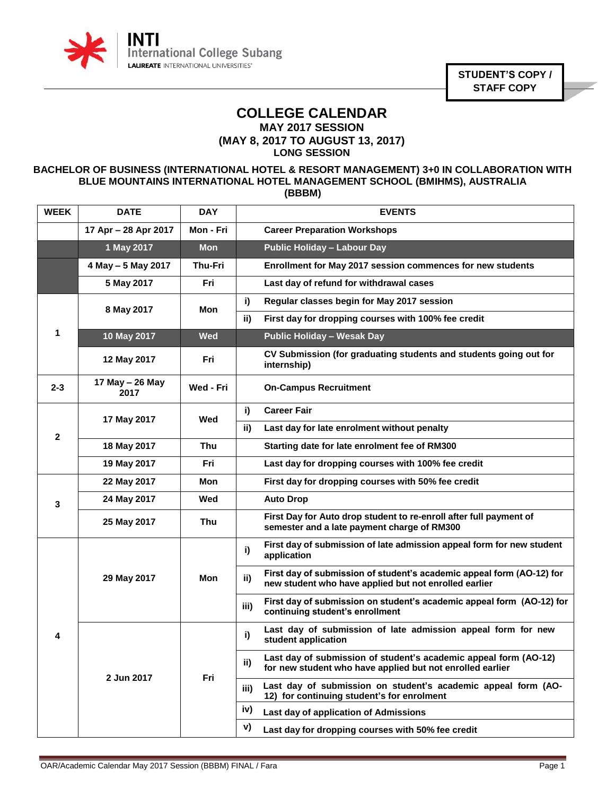

**STUDENT'S COPY / STAFF COPY**

## **COLLEGE CALENDAR MAY 2017 SESSION**

**(MAY 8, 2017 TO AUGUST 13, 2017) LONG SESSION**

## **BACHELOR OF BUSINESS (INTERNATIONAL HOTEL & RESORT MANAGEMENT) 3+0 IN COLLABORATION WITH BLUE MOUNTAINS INTERNATIONAL HOTEL MANAGEMENT SCHOOL (BMIHMS), AUSTRALIA (BBBM)**

| <b>WEEK</b>  | <b>DATE</b>             | <b>DAY</b>     |      | <b>EVENTS</b>                                                                                                                  |
|--------------|-------------------------|----------------|------|--------------------------------------------------------------------------------------------------------------------------------|
|              | 17 Apr - 28 Apr 2017    | Mon - Fri      |      | <b>Career Preparation Workshops</b>                                                                                            |
|              | 1 May 2017              | <b>Mon</b>     |      | <b>Public Holiday - Labour Day</b>                                                                                             |
|              | 4 May - 5 May 2017      | <b>Thu-Fri</b> |      | Enrollment for May 2017 session commences for new students                                                                     |
|              | 5 May 2017              | Fri            |      | Last day of refund for withdrawal cases                                                                                        |
| 1            | 8 May 2017              | Mon            | i)   | Regular classes begin for May 2017 session                                                                                     |
|              |                         |                | ii)  | First day for dropping courses with 100% fee credit                                                                            |
|              | 10 May 2017             | <b>Wed</b>     |      | <b>Public Holiday - Wesak Day</b>                                                                                              |
|              | 12 May 2017             | Fri            |      | CV Submission (for graduating students and students going out for<br>internship)                                               |
| $2 - 3$      | 17 May - 26 May<br>2017 | Wed - Fri      |      | <b>On-Campus Recruitment</b>                                                                                                   |
|              | 17 May 2017             | Wed            | i)   | <b>Career Fair</b>                                                                                                             |
| $\mathbf{2}$ |                         |                | ii)  | Last day for late enrolment without penalty                                                                                    |
|              | 18 May 2017             | <b>Thu</b>     |      | Starting date for late enrolment fee of RM300                                                                                  |
|              | 19 May 2017             | Fri            |      | Last day for dropping courses with 100% fee credit                                                                             |
| 3            | 22 May 2017             | Mon            |      | First day for dropping courses with 50% fee credit                                                                             |
|              | 24 May 2017             | Wed            |      | <b>Auto Drop</b>                                                                                                               |
|              | 25 May 2017             | <b>Thu</b>     |      | First Day for Auto drop student to re-enroll after full payment of<br>semester and a late payment charge of RM300              |
| 4            | 29 May 2017             | <b>Mon</b>     | i)   | First day of submission of late admission appeal form for new student<br>application                                           |
|              |                         |                | ii)  | First day of submission of student's academic appeal form (AO-12) for<br>new student who have applied but not enrolled earlier |
|              |                         |                | iii) | First day of submission on student's academic appeal form (AO-12) for<br>continuing student's enrollment                       |
|              | 2 Jun 2017              | Fri            | i)   | Last day of submission of late admission appeal form for new<br>student application                                            |
|              |                         |                | ii)  | Last day of submission of student's academic appeal form (AO-12)<br>for new student who have applied but not enrolled earlier  |
|              |                         |                | iii) | Last day of submission on student's academic appeal form (AO-<br>12) for continuing student's for enrolment                    |
|              |                         |                | iv)  | Last day of application of Admissions                                                                                          |
|              |                         |                | V)   | Last day for dropping courses with 50% fee credit                                                                              |